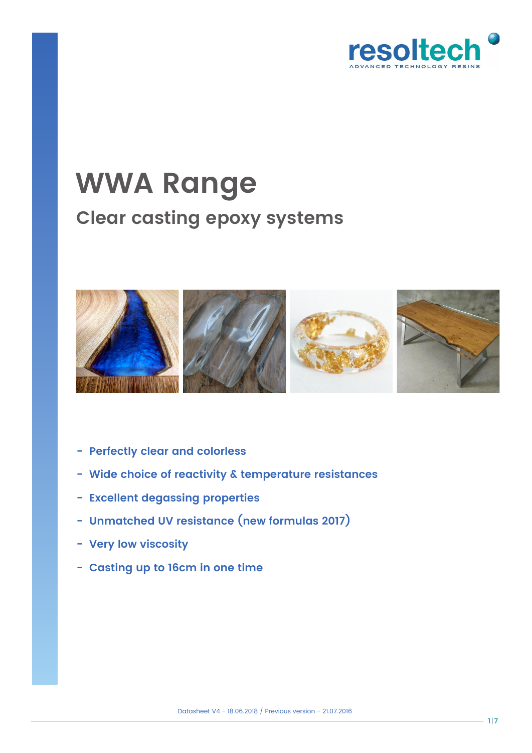

# **WWA Range Clear casting epoxy systems**



- **Perfectly clear and colorless**
- **Wide choice of reactivity & temperature resistances**
- **Excellent degassing properties**
- **Unmatched UV resistance (new formulas 2017)**
- **Very low viscosity**
- **Casting up to 16cm in one time**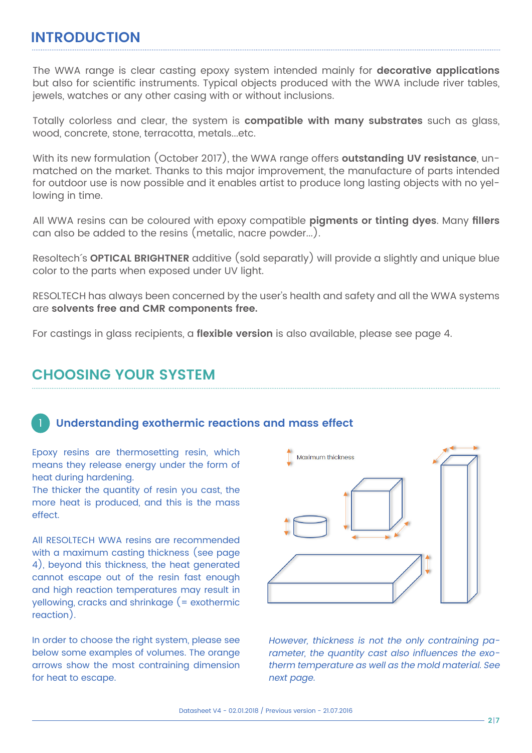#### **INTRODUCTION**

The WWA range is clear casting epoxy system intended mainly for **decorative applications** but also for scientific instruments. Typical objects produced with the WWA include river tables, jewels, watches or any other casing with or without inclusions.

Totally colorless and clear, the system is **compatible with many substrates** such as glass, wood, concrete, stone, terracotta, metals...etc.

With its new formulation (October 2017), the WWA range offers **outstanding UV resistance**, unmatched on the market. Thanks to this major improvement, the manufacture of parts intended for outdoor use is now possible and it enables artist to produce long lasting objects with no yellowing in time.

All WWA resins can be coloured with epoxy compatible **pigments or tinting dyes**. Many **fillers** can also be added to the resins (metalic, nacre powder...).

Resoltech´s **OPTICAL BRIGHTNER** additive (sold separatly) will provide a slightly and unique blue color to the parts when exposed under UV light.

RESOLTECH has always been concerned by the user's health and safety and all the WWA systems are **solvents free and CMR components free.**

For castings in glass recipients, a **flexible version** is also available, please see page 4.

#### **CHOOSING YOUR SYSTEM**

#### 1 **Understanding exothermic reactions and mass effect**

Epoxy resins are thermosetting resin, which means they release energy under the form of heat during hardening.

The thicker the quantity of resin you cast, the more heat is produced, and this is the mass effect.

All RESOLTECH WWA resins are recommended with a maximum casting thickness (see page 4), beyond this thickness, the heat generated cannot escape out of the resin fast enough and high reaction temperatures may result in yellowing, cracks and shrinkage (= exothermic reaction).

In order to choose the right system, please see below some examples of volumes. The orange arrows show the most contraining dimension for heat to escape.



However, thickness is not the only contraining parameter, the quantity cast also influences the exotherm temperature as well as the mold material. See next page.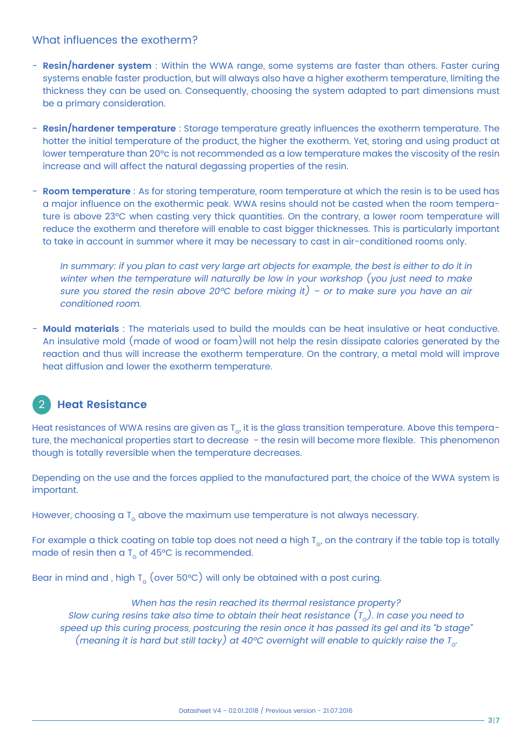#### What influences the exotherm?

- **Resin/hardener system** : Within the WWA range, some systems are faster than others. Faster curing systems enable faster production, but will always also have a higher exotherm temperature, limiting the thickness they can be used on. Consequently, choosing the system adapted to part dimensions must be a primary consideration.
- **Resin/hardener temperature** : Storage temperature greatly influences the exotherm temperature. The hotter the initial temperature of the product, the higher the exotherm. Yet, storing and using product at lower temperature than 20°c is not recommended as a low temperature makes the viscosity of the resin increase and will affect the natural degassing properties of the resin.
- **Room temperature** : As for storing temperature, room temperature at which the resin is to be used has a major influence on the exothermic peak. WWA resins should not be casted when the room temperature is above 23°C when casting very thick quantities. On the contrary, a lower room temperature will reduce the exotherm and therefore will enable to cast bigger thicknesses. This is particularly important to take in account in summer where it may be necessary to cast in air-conditioned rooms only.

In summary: if you plan to cast very large art objects for example, the best is either to do it in winter when the temperature will naturally be low in your workshop (you just need to make sure you stored the resin above 20°C before mixing it) - or to make sure you have an air conditioned room.

- **Mould materials** : The materials used to build the moulds can be heat insulative or heat conductive. An insulative mold (made of wood or foam)will not help the resin dissipate calories generated by the reaction and thus will increase the exotherm temperature. On the contrary, a metal mold will improve heat diffusion and lower the exotherm temperature.

## 2 **Heat Resistance**

Heat resistances of WWA resins are given as  $T_{\alpha}$ , it is the glass transition temperature. Above this temperature, the mechanical properties start to decrease - the resin will become more flexible. This phenomenon though is totally reversible when the temperature decreases.

Depending on the use and the forces applied to the manufactured part, the choice of the WWA system is important.

However, choosing a  $T<sub>G</sub>$  above the maximum use temperature is not always necessary.

For example a thick coating on table top does not need a high  $T_{\rm e}$ , on the contrary if the table top is totally made of resin then a  $T<sub>g</sub>$  of 45°C is recommended.

Bear in mind and , high  $T_{\rm g}$  (over 50°C) will only be obtained with a post curing.

When has the resin reached its thermal resistance property? Slow curing resins take also time to obtain their heat resistance  $(T<sub>e</sub>)$ . In case you need to speed up this curing process, postcuring the resin once it has passed its gel and its "b stage" (meaning it is hard but still tacky) at 40°C overnight will enable to quickly raise the  $T_{\rm cl}$ .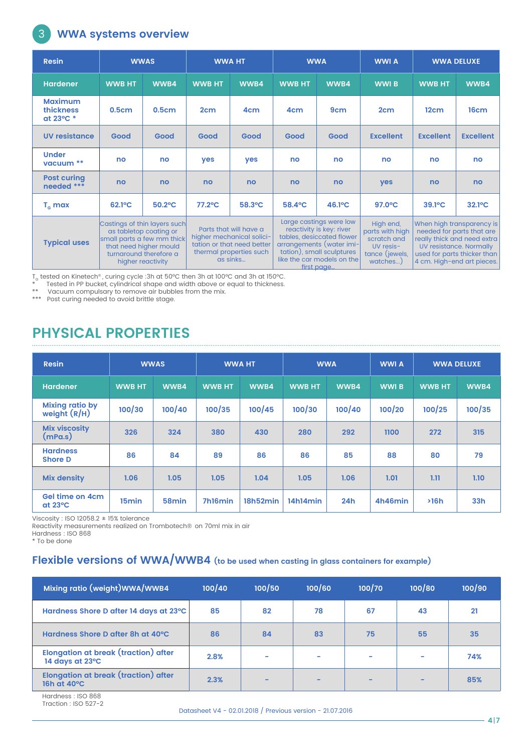## **WWA systems overview**

3

| <b>Resin</b>                                    |               | <b>WWAS</b>                                                                                                                                                   | <b>WWA HT</b>                                                                                                            |                 |                                                                                                                                                                                       | <b>WWA</b>      |                                                                                        | <b>WWA DELUXE</b>                                                                                                                                                             |                  |
|-------------------------------------------------|---------------|---------------------------------------------------------------------------------------------------------------------------------------------------------------|--------------------------------------------------------------------------------------------------------------------------|-----------------|---------------------------------------------------------------------------------------------------------------------------------------------------------------------------------------|-----------------|----------------------------------------------------------------------------------------|-------------------------------------------------------------------------------------------------------------------------------------------------------------------------------|------------------|
| <b>Hardener</b>                                 | <b>WWB HT</b> | WWB4                                                                                                                                                          | <b>WWB HT</b>                                                                                                            | WWB4            | <b>WWB HT</b>                                                                                                                                                                         | WWB4            | <b>WWIB</b>                                                                            | <b>WWB HT</b>                                                                                                                                                                 | WWB4             |
| <b>Maximum</b><br><b>thickness</b><br>at 23°C * | 0.5cm         | 0.5cm                                                                                                                                                         | 2 <sub>cm</sub>                                                                                                          | 4 <sub>cm</sub> | 4 <sub>cm</sub>                                                                                                                                                                       | 9 <sub>cm</sub> | 2 <sub>cm</sub>                                                                        | 12cm                                                                                                                                                                          | 16cm             |
| <b>UV resistance</b>                            | Good          | Good                                                                                                                                                          | Good                                                                                                                     | Good            | Good                                                                                                                                                                                  | Good            | <b>Excellent</b>                                                                       | <b>Excellent</b>                                                                                                                                                              | <b>Excellent</b> |
| <b>Under</b><br>vacuum **                       | no            | no                                                                                                                                                            | yes                                                                                                                      | yes             | no                                                                                                                                                                                    | no              | no                                                                                     | no                                                                                                                                                                            | no               |
| <b>Post curing</b><br>needed ***                | no            | no                                                                                                                                                            | no                                                                                                                       | no              | no                                                                                                                                                                                    | no              | yes                                                                                    | no                                                                                                                                                                            | no               |
| $T_c$ max                                       | 62.1°C        | $50.2$ °C                                                                                                                                                     | $77.2$ °C                                                                                                                | 58.3°C          | 58.4°C                                                                                                                                                                                | 46.1°C          | $97.0$ °C                                                                              | $39.1^{\circ}$ C                                                                                                                                                              | $32.1^{\circ}C$  |
| <b>Typical uses</b>                             |               | Castings of thin layers such<br>as tabletop coating or<br>small parts a few mm thick<br>that need higher mould<br>turnaround therefore a<br>higher reactivity | Parts that will have a<br>higher mechanical solici-<br>tation or that need better<br>thermal properties such<br>as sinks |                 | Large castings were low<br>reactivity is key: river<br>tables, desiccated flower<br>arrangements (water imi-<br>tation), small sculptures<br>like the car models on the<br>first page |                 | High end,<br>parts with high<br>scratch and<br>UV resis-<br>tance (jewels,<br>watches) | When high transparency is<br>needed for parts that are<br>really thick and need extra<br>UV resistance. Normally<br>used for parts thicker than<br>4 cm. High-end art pieces. |                  |

T<sub>e</sub> tested on Kinetech®, curing cycle :3h at 50°C then 3h at 100°C and 3h at 150°C.<br>\* Tested in PP bucket, cylindrical shape and width above or equal to thickness.

\*\* Vacuum compulsary to remove air bubbles from the mix.

\*\*\* Post curing needed to avoid brittle stage.

# **PHYSICAL PROPERTIES**

| <b>Resin</b>                        |                   | <b>WWAS</b>       | <b>WWA HT</b> |          | <b>WWA</b>    |        | <b>WWI A</b> | <b>WWA DELUXE</b> |                 |
|-------------------------------------|-------------------|-------------------|---------------|----------|---------------|--------|--------------|-------------------|-----------------|
| <b>Hardener</b>                     | <b>WWB HT</b>     | WWB4              | <b>WWB HT</b> | WWB4     | <b>WWB HT</b> | WWB4   | <b>WWIB</b>  | <b>WWB HT</b>     | WWB4            |
| Mixing ratio by<br>weight (R/H)     | 100/30            | 100/40            | 100/35        | 100/45   | 100/30        | 100/40 | 100/20       | 100/25            | 100/35          |
| <b>Mix viscosity</b><br>(mPa.s)     | 326               | 324               | 380           | 430      | 280           | 292    | 1100         | 272               | 315             |
| <b>Hardness</b><br><b>Shore D</b>   | 86                | 84                | 89            | 86       | 86            | 85     | 88           | 80                | 79              |
| <b>Mix density</b>                  | 1.06              | 1.05              | 1.05          | 1.04     | 1.05          | 1.06   | 1.01         | 1.11              | 1.10            |
| Gel time on 4cm<br>$at 23^{\circ}C$ | 15 <sub>min</sub> | 58 <sub>min</sub> | 7h16min       | 18h52min | 14h14min      | 24h    | 4h46min      | >16h              | 33 <sub>h</sub> |

Viscosity : ISO 12058.2 ± 15% tolerance

Reactivity measurements realized on Trombotech® on 70ml mix in air

Hardness : ISO 868

\* To be done

#### **Flexible versions of WWA/WWB4 (to be used when casting in glass containers for example)**

| Mixing ratio (weight) WWA/WWB4                          | 100/40 | 100/50 | 100/60 | 100/70 | 100/80 | 100/90 |
|---------------------------------------------------------|--------|--------|--------|--------|--------|--------|
| Hardness Shore D after 14 days at 23°C                  | 85     | 82     | 78     | 67     | 43     | 21     |
| Hardness Shore D after 8h at 40°C                       | 86     | 84     | 83     | 75     | 55     | 35     |
| Elongation at break (traction) after<br>14 days at 23°C | 2.8%   | -      | -      | -      | ۰      | 74%    |
| Elongation at break (traction) after<br>16h at 40°C     | 2.3%   | -      | -      | -      | -      | 85%    |

Hardness : ISO 868 Traction : ISO 527-2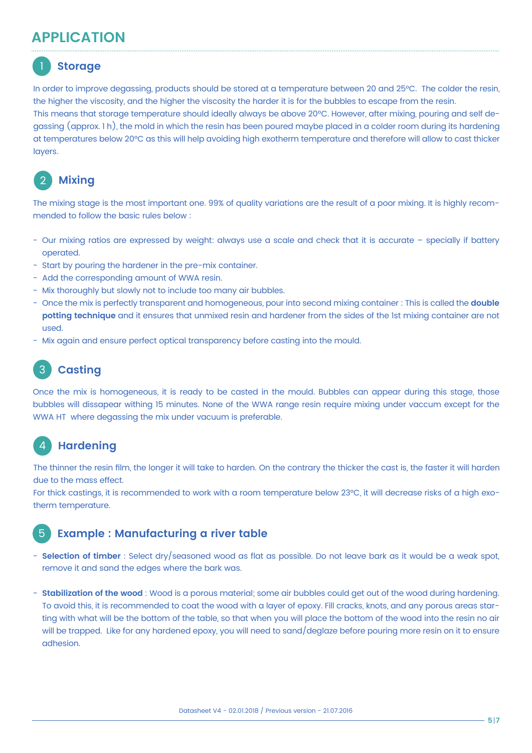## **APPLICATION**

# 1 **Storage**

In order to improve degassing, products should be stored at a temperature between 20 and 25°C. The colder the resin, the higher the viscosity, and the higher the viscosity the harder it is for the bubbles to escape from the resin. This means that storage temperature should ideally always be above 20ºC. However, after mixing, pouring and self degassing (approx. 1 h), the mold in which the resin has been poured maybe placed in a colder room during its hardening at temperatures below 20°C as this will help avoiding high exotherm temperature and therefore will allow to cast thicker layers.

# **Mixing**

The mixing stage is the most important one. 99% of quality variations are the result of a poor mixing. It is highly recommended to follow the basic rules below :

- Our mixing ratios are expressed by weight: always use a scale and check that it is accurate specially if battery operated.
- Start by pouring the hardener in the pre-mix container.
- Add the corresponding amount of WWA resin.
- Mix thoroughly but slowly not to include too many air bubbles.
- Once the mix is perfectly transparent and homogeneous, pour into second mixing container : This is called the **double potting technique** and it ensures that unmixed resin and hardener from the sides of the 1st mixing container are not used.
- Mix again and ensure perfect optical transparency before casting into the mould.

# 3 **Casting**

Once the mix is homogeneous, it is ready to be casted in the mould. Bubbles can appear during this stage, those bubbles will dissapear withing 15 minutes. None of the WWA range resin require mixing under vaccum except for the WWA HT where degassing the mix under vacuum is preferable.

#### 4 **Hardening**

The thinner the resin film, the longer it will take to harden. On the contrary the thicker the cast is, the faster it will harden due to the mass effect.

For thick castings, it is recommended to work with a room temperature below 23°C, it will decrease risks of a high exotherm temperature.

#### 5 **Example : Manufacturing a river table**

- **Selection of timber** : Select dry/seasoned wood as flat as possible. Do not leave bark as it would be a weak spot, remove it and sand the edges where the bark was.
- **Stabilization of the wood** : Wood is a porous material; some air bubbles could get out of the wood during hardening. To avoid this, it is recommended to coat the wood with a layer of epoxy. Fill cracks, knots, and any porous areas starting with what will be the bottom of the table, so that when you will place the bottom of the wood into the resin no air will be trapped. Like for any hardened epoxy, you will need to sand/deglaze before pouring more resin on it to ensure adhesion.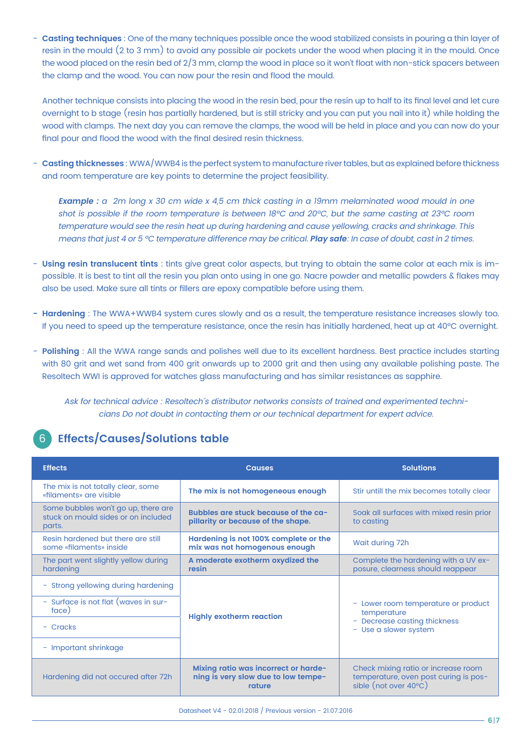- **Casting techniques** : One of the many techniques possible once the wood stabilized consists in pouring a thin layer of resin in the mould (2 to 3 mm) to avoid any possible air pockets under the wood when placing it in the mould. Once the wood placed on the resin bed of 2/3 mm, clamp the wood in place so it won't float with non-stick spacers between the clamp and the wood. You can now pour the resin and flood the mould.

 Another technique consists into placing the wood in the resin bed, pour the resin up to half to its final level and let cure overnight to b stage (resin has partially hardened, but is still stricky and you can put you nail into it) while holding the wood with clamps. The next day you can remove the clamps, the wood will be held in place and you can now do your final pour and flood the wood with the final desired resin thickness.

- **Casting thicknesses** : WWA/WWB4 is the perfect system to manufacture river tables, but as explained before thickness and room temperature are key points to determine the project feasibility.

**Example :** a 2m long x 30 cm wide x 4,5 cm thick casting in a 19mm melaminated wood mould in one shot is possible if the room temperature is between 18°C and 20°C, but the same casting at 23°C room temperature would see the resin heat up during hardening and cause yellowing, cracks and shrinkage. This means that just 4 or 5 ºC temperature difference may be critical. **Play safe**: In case of doubt, cast in 2 times.

- **Using resin translucent tints** : tints give great color aspects, but trying to obtain the same color at each mix is impossible. It is best to tint all the resin you plan onto using in one go. Nacre powder and metallic powders & flakes may also be used. Make sure all tints or fillers are epoxy compatible before using them.
- **Hardening** : The WWA+WWB4 system cures slowly and as a result, the temperature resistance increases slowly too. If you need to speed up the temperature resistance, once the resin has initially hardened, heat up at 40ºC overnight.
- **Polishing** : All the WWA range sands and polishes well due to its excellent hardness. Best practice includes starting with 80 grit and wet sand from 400 grit onwards up to 2000 grit and then using any available polishing paste. The Resoltech WWI is approved for watches glass manufacturing and has similar resistances as sapphire.

Ask for technical advice : Resoltech´s distributor networks consists of trained and experimented technicians Do not doubt in contacting them or our technical department for expert advice.

#### 6 **Effects/Causes/Solutions table**

| <b>Effects</b>                                                                       | <b>Causes</b>                                                                         | <b>Solutions</b>                                                                                      |  |  |  |
|--------------------------------------------------------------------------------------|---------------------------------------------------------------------------------------|-------------------------------------------------------------------------------------------------------|--|--|--|
| The mix is not totally clear, some<br>«filaments» are visible                        | The mix is not homogeneous enough                                                     | Stir untill the mix becomes totally clear                                                             |  |  |  |
| Some bubbles won't go up, there are<br>stuck on mould sides or on included<br>parts. | Bubbles are stuck because of the ca-<br>pillarity or because of the shape.            | Soak all surfaces with mixed resin prior<br>to casting                                                |  |  |  |
| Resin hardened but there are still<br>some «filaments» inside                        | Hardening is not 100% complete or the<br>mix was not homogenous enough                | Wait during 72h                                                                                       |  |  |  |
| The part went slightly yellow during<br>hardening                                    | A moderate exotherm oxydized the<br>resin                                             | Complete the hardening with a UV ex-<br>posure, clearness should reappear                             |  |  |  |
| - Strong yellowing during hardening                                                  |                                                                                       | - Lower room temperature or product<br>temperature                                                    |  |  |  |
| - Surface is not flat (waves in sur-<br>face)                                        | <b>Highly exotherm reaction</b>                                                       |                                                                                                       |  |  |  |
| - Cracks                                                                             |                                                                                       | - Decrease casting thickness<br>- Use a slower system                                                 |  |  |  |
| - Important shrinkage                                                                |                                                                                       |                                                                                                       |  |  |  |
| Hardening did not occured after 72h                                                  | Mixing ratio was incorrect or harde-<br>ning is very slow due to low tempe-<br>rature | Check mixing ratio or increase room<br>temperature, oven post curing is pos-<br>sible (not over 40°C) |  |  |  |